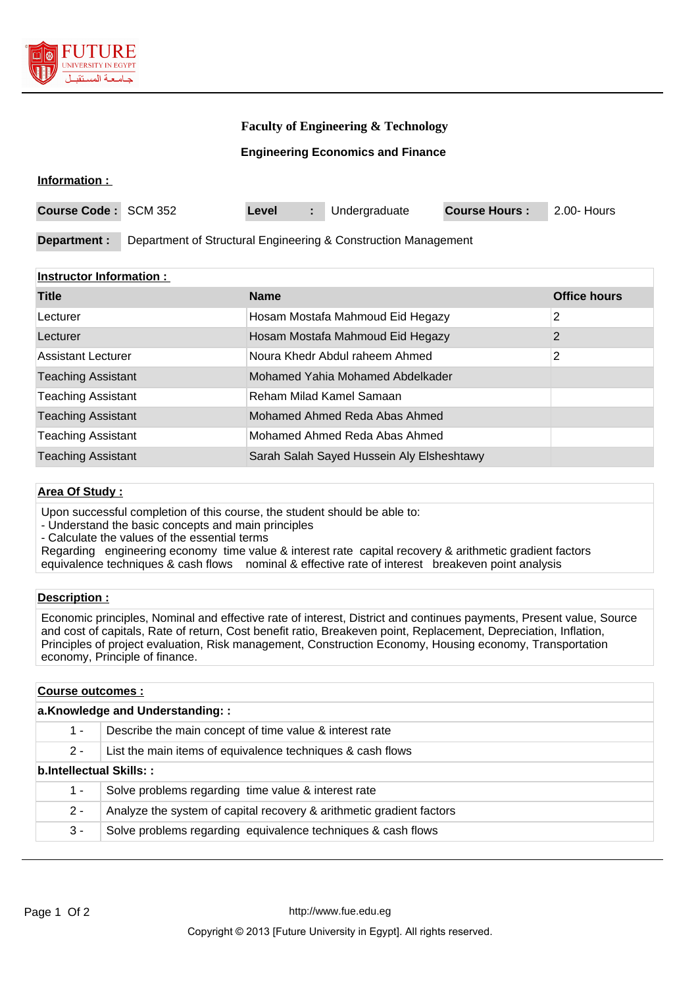

#### **Faculty of Engineering & Technology**

#### **Engineering Economics and Finance**

#### **Information :**

| <b>Course Code: SCM 352</b> |                                                                | Level |  | Undergraduate | <b>Course Hours:</b> | 2.00- Hours |
|-----------------------------|----------------------------------------------------------------|-------|--|---------------|----------------------|-------------|
|                             |                                                                |       |  |               |                      |             |
| Department :                | Department of Structural Engineering & Construction Management |       |  |               |                      |             |

#### **Instructor Information :**

| <b>Title</b>              | <b>Name</b>                               | <b>Office hours</b> |
|---------------------------|-------------------------------------------|---------------------|
| Lecturer                  | Hosam Mostafa Mahmoud Eid Hegazy          | 2                   |
| Lecturer                  | Hosam Mostafa Mahmoud Eid Hegazy          | 2                   |
| Assistant Lecturer        | Noura Khedr Abdul raheem Ahmed            | 2                   |
| <b>Teaching Assistant</b> | Mohamed Yahia Mohamed Abdelkader          |                     |
| <b>Teaching Assistant</b> | Reham Milad Kamel Samaan                  |                     |
| <b>Teaching Assistant</b> | Mohamed Ahmed Reda Abas Ahmed             |                     |
| <b>Teaching Assistant</b> | Mohamed Ahmed Reda Abas Ahmed             |                     |
| <b>Teaching Assistant</b> | Sarah Salah Sayed Hussein Aly Elsheshtawy |                     |

#### **Area Of Study :**

Upon successful completion of this course, the student should be able to:

- Understand the basic concepts and main principles

- Calculate the values of the essential terms

Regarding engineering economy time value & interest rate capital recovery & arithmetic gradient factors equivalence techniques & cash flows nominal & effective rate of interest breakeven point analysis

#### **Description :**

Economic principles, Nominal and effective rate of interest, District and continues payments, Present value, Source and cost of capitals, Rate of return, Cost benefit ratio, Breakeven point, Replacement, Depreciation, Inflation, Principles of project evaluation, Risk management, Construction Economy, Housing economy, Transportation economy, Principle of finance.

# **Course outcomes : a.Knowledge and Understanding: :** 1 - Describe the main concept of time value & interest rate 2 - List the main items of equivalence techniques & cash flows **b.Intellectual Skills: :** 1 - Solve problems regarding time value & interest rate 2 - Analyze the system of capital recovery & arithmetic gradient factors 3 - Solve problems regarding equivalence techniques & cash flows